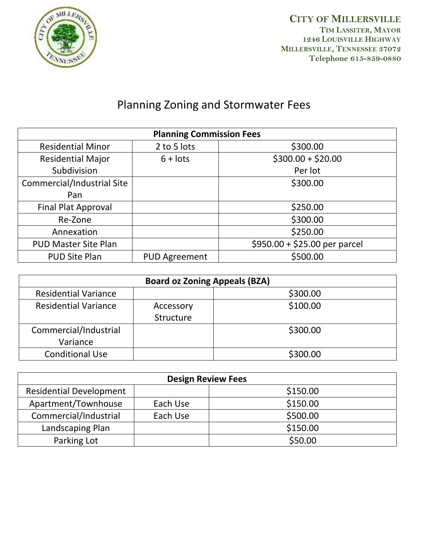

**CITY OF MILLERSVILLE TIM LASSITER, MAYOR 1246 LOUISVILLE HIGHWAY MILLERSVILLE, TENNESSEE 37072 Telephone 615-859-0880**

## Planning Zoning and Stormwater Fees

| <b>Planning Commission Fees</b> |                      |                               |
|---------------------------------|----------------------|-------------------------------|
| <b>Residential Minor</b>        | 2 to 5 lots          | \$300.00                      |
| <b>Residential Major</b>        | $6 +$ lots           | $$300.00 + $20.00$            |
| Subdivision                     |                      | Per lot                       |
| Commercial/Industrial Site      |                      | \$300.00                      |
| Pan                             |                      |                               |
| <b>Final Plat Approval</b>      |                      | \$250.00                      |
| Re-Zone                         |                      | \$300.00                      |
| Annexation                      |                      | \$250.00                      |
| <b>PUD Master Site Plan</b>     |                      | $$950.00 + $25.00$ per parcel |
| <b>PUD Site Plan</b>            | <b>PUD Agreement</b> | \$500.00                      |

| <b>Board oz Zoning Appeals (BZA)</b> |           |          |
|--------------------------------------|-----------|----------|
| <b>Residential Variance</b>          |           | \$300.00 |
| <b>Residential Variance</b>          | Accessory | \$100.00 |
|                                      | Structure |          |
| Commercial/Industrial                |           | \$300.00 |
| Variance                             |           |          |
| <b>Conditional Use</b>               |           | \$300.00 |

| <b>Design Review Fees</b>      |          |          |
|--------------------------------|----------|----------|
| <b>Residential Development</b> |          | \$150.00 |
| Apartment/Townhouse            | Each Use | \$150.00 |
| Commercial/Industrial          | Each Use | \$500.00 |
| Landscaping Plan               |          | \$150.00 |
| Parking Lot                    |          | \$50.00  |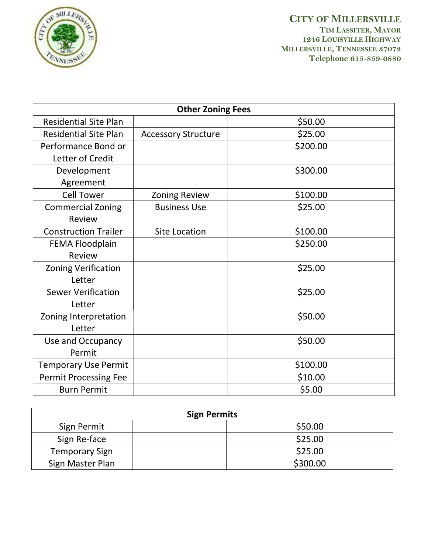

**CITY OF MILLERSVILLE TIM LASSITER, MAYOR 1246 LOUISVILLE HIGHWAY MILLERSVILLE, TENNESSEE 37072 Telephone 615-859-0880**

| <b>Other Zoning Fees</b>     |                            |          |
|------------------------------|----------------------------|----------|
| <b>Residential Site Plan</b> |                            | \$50.00  |
| <b>Residential Site Plan</b> | <b>Accessory Structure</b> | \$25.00  |
| Performance Bond or          |                            | \$200.00 |
| Letter of Credit             |                            |          |
| Development                  |                            | \$300.00 |
| Agreement                    |                            |          |
| <b>Cell Tower</b>            | <b>Zoning Review</b>       | \$100.00 |
| <b>Commercial Zoning</b>     | <b>Business Use</b>        | \$25.00  |
| Review                       |                            |          |
| <b>Construction Trailer</b>  | <b>Site Location</b>       | \$100.00 |
| <b>FEMA Floodplain</b>       |                            | \$250.00 |
| Review                       |                            |          |
| <b>Zoning Verification</b>   |                            | \$25.00  |
| Letter                       |                            |          |
| <b>Sewer Verification</b>    |                            | \$25.00  |
| Letter                       |                            |          |
| Zoning Interpretation        |                            | \$50.00  |
| Letter                       |                            |          |
| Use and Occupancy            |                            | \$50.00  |
| Permit                       |                            |          |
| <b>Temporary Use Permit</b>  |                            | \$100.00 |
| <b>Permit Processing Fee</b> |                            | \$10.00  |
| <b>Burn Permit</b>           |                            | \$5.00   |

| <b>Sign Permits</b>   |          |  |
|-----------------------|----------|--|
| Sign Permit           | \$50.00  |  |
| Sign Re-face          | \$25.00  |  |
| <b>Temporary Sign</b> | \$25.00  |  |
| Sign Master Plan      | \$300.00 |  |